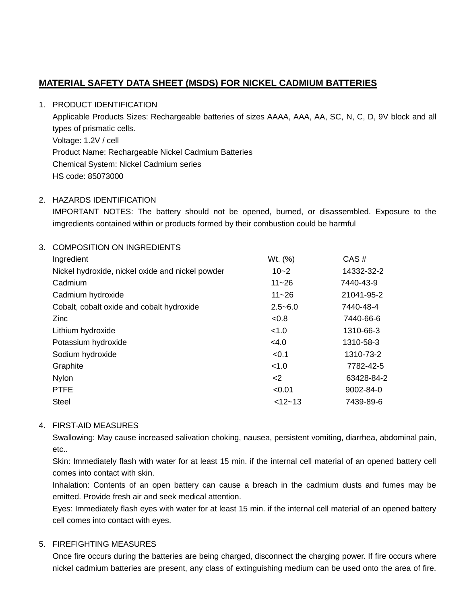# **MATERIAL SAFETY DATA SHEET (MSDS) FOR NICKEL CADMIUM BATTERIES**

### 1. PRODUCT IDENTIFICATION

 Applicable Products Sizes: Rechargeable batteries of sizes AAAA, AAA, AA, SC, N, C, D, 9V block and all Voltage: 1.2V / cell Product Name: Rechargeable Nickel Cadmium Batteries Chemical System: Nickel Cadmium series types of prismatic cells. HS code: 85073000

### 2. HAZARDS IDENTIFICATION

 IMPORTANT NOTES: The battery should not be opened, burned, or disassembled. Exposure to the imgredients contained within or products formed by their combustion could be harmful

### 3. COMPOSITION ON INGREDIENTS

| Ingredient                                       | Wt. (%)     | CAS#       |
|--------------------------------------------------|-------------|------------|
| Nickel hydroxide, nickel oxide and nickel powder | $10 - 2$    | 14332-32-2 |
| Cadmium                                          | $11 - 26$   | 7440-43-9  |
| Cadmium hydroxide                                | $11 - 26$   | 21041-95-2 |
| Cobalt, cobalt oxide and cobalt hydroxide        | $2.5 - 6.0$ | 7440-48-4  |
| Zinc                                             | < 0.8       | 7440-66-6  |
| Lithium hydroxide                                | < 1.0       | 1310-66-3  |
| Potassium hydroxide                              | <4.0        | 1310-58-3  |
| Sodium hydroxide                                 | < 0.1       | 1310-73-2  |
| Graphite                                         | < 1.0       | 7782-42-5  |
| Nylon                                            | $\leq$      | 63428-84-2 |
| <b>PTFE</b>                                      | < 0.01      | 9002-84-0  |
| <b>Steel</b>                                     | $< 12 - 13$ | 7439-89-6  |

#### 4. FIRST-AID MEASURES

 Swallowing: May cause increased salivation choking, nausea, persistent vomiting, diarrhea, abdominal pain, etc..

 Skin: Immediately flash with water for at least 15 min. if the internal cell material of an opened battery cell comes into contact with skin.

 Inhalation: Contents of an open battery can cause a breach in the cadmium dusts and fumes may be emitted. Provide fresh air and seek medical attention.

 Eyes: Immediately flash eyes with water for at least 15 min. if the internal cell material of an opened battery cell comes into contact with eyes.

### 5. FIREFIGHTING MEASURES

 Once fire occurs during the batteries are being charged, disconnect the charging power. If fire occurs where nickel cadmium batteries are present, any class of extinguishing medium can be used onto the area of fire.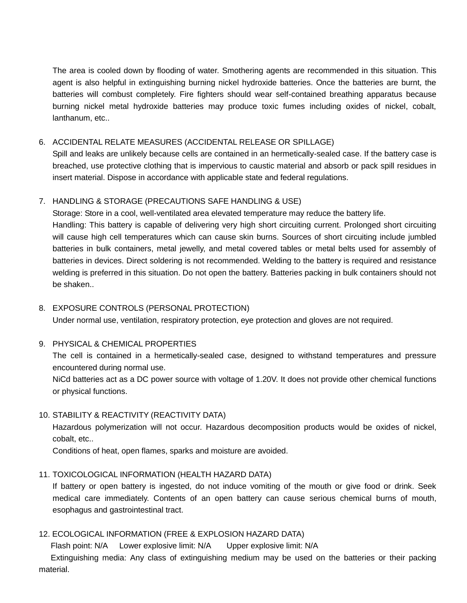The area is cooled down by flooding of water. Smothering agents are recommended in this situation. This agent is also helpful in extinguishing burning nickel hydroxide batteries. Once the batteries are burnt, the batteries will combust completely. Fire fighters should wear self-contained breathing apparatus because burning nickel metal hydroxide batteries may produce toxic fumes including oxides of nickel, cobalt, lanthanum, etc..

### 6. ACCIDENTAL RELATE MEASURES (ACCIDENTAL RELEASE OR SPILLAGE)

 Spill and leaks are unlikely because cells are contained in an hermetically-sealed case. If the battery case is breached, use protective clothing that is impervious to caustic material and absorb or pack spill residues in insert material. Dispose in accordance with applicable state and federal regulations.

### 7. HANDLING & STORAGE (PRECAUTIONS SAFE HANDLING & USE)

 Storage: Store in a cool, well-ventilated area elevated temperature may reduce the battery life. Handling: This battery is capable of delivering very high short circuiting current. Prolonged short circuiting will cause high cell temperatures which can cause skin burns. Sources of short circuiting include jumbled batteries in bulk containers, metal jewelly, and metal covered tables or metal belts used for assembly of batteries in devices. Direct soldering is not recommended. Welding to the battery is required and resistance welding is preferred in this situation. Do not open the battery. Batteries packing in bulk containers should not be shaken..

### 8. EXPOSURE CONTROLS (PERSONAL PROTECTION)

Under normal use, ventilation, respiratory protection, eye protection and gloves are not required.

#### 9. PHYSICAL & CHEMICAL PROPERTIES

 encountered during normal use. The cell is contained in a hermetically-sealed case, designed to withstand temperatures and pressure

 NiCd batteries act as a DC power source with voltage of 1.20V. It does not provide other chemical functions or physical functions.

#### 10. STABILITY & REACTIVITY (REACTIVITY DATA)

 Hazardous polymerization will not occur. Hazardous decomposition products would be oxides of nickel, cobalt, etc..

Conditions of heat, open flames, sparks and moisture are avoided.

### 11. TOXICOLOGICAL INFORMATION (HEALTH HAZARD DATA)

 If battery or open battery is ingested, do not induce vomiting of the mouth or give food or drink. Seek medical care immediately. Contents of an open battery can cause serious chemical burns of mouth, esophagus and gastrointestinal tract.

### 12. ECOLOGICAL INFORMATION (FREE & EXPLOSION HAZARD DATA)

Flash point: N/A Lower explosive limit: N/A Upper explosive limit: N/A

Extinguishing media: Any class of extinguishing medium may be used on the batteries or their packing material.